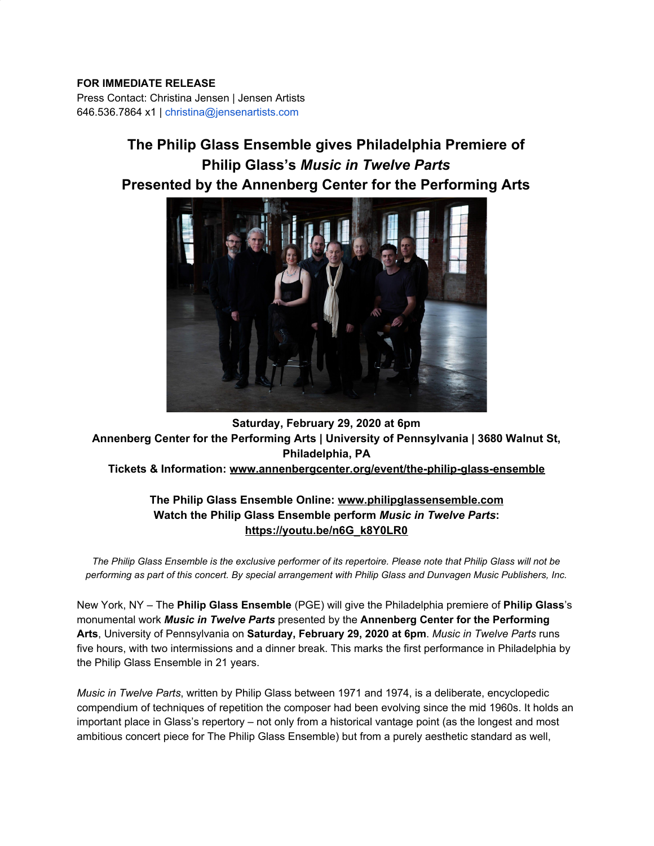### **FOR IMMEDIATE RELEASE**

Press Contact: Christina Jensen | Jensen Artists 646.536.7864 x1 | christina@jensenartists.com

# **The Philip Glass Ensemble gives Philadelphia Premiere of Philip Glass's** *Music in Twelve Parts* **Presented by the Annenberg Center for the Performing Arts**



# **Saturday, February 29, 2020 at 6pm Annenberg Center for the Performing Arts | University of Pennsylvania | 3680 Walnut St, Philadelphia, PA Tickets & Information: [www.annenbergcenter.org/event/the-philip-glass-ensemble](https://u7061146.ct.sendgrid.net/wf/click?upn=84Em28S1K9SvtzcUtu04EuVGGQ9fldUlWBrAz4CSjt2r1INHcGAWKbciN52O-2BoUUDpbU6k4YawNXBQoyKj8-2B8zia77tO7SwG528EZyX0wgg-3D_DruDjhchMBr5xQkz3h1qcOnjZc-2BCsAVhraQ7DxYhbA2-2BHLQf-2BHKWaWi2FTM7QHo-2Fd7eCMDRMAhfd2mcWSs-2FpzNW9MmuPwV7rH-2FbDd7DdSSZy897to543qU2NSKgDe3U3CGTCNik2eK3Wjeu4W7zsn0L5jt8LITRJKNPcm2csv8CLkGkCV0BR4bJjNCUo4GlKBNTquxYJJM38n5cwfC0WVMfnYIOacjIDlt9ulh8YNRCN6fDTi2G1NfoHVIsYYoLZGzT7xjsbRS-2BhZ4xJavUvKxAWG3NP36DtNmv5j4uHfoC-2BPeG2KAN1ViSoEgLI-2F5b-2FxdQWUciZKsT0jQV33UhWDKUAjOuSsxlWVAJD-2BZ2W-2FBo-3D)**

# **The Philip Glass Ensemble Online: [www.philipglassensemble.com](https://u7061146.ct.sendgrid.net/wf/click?upn=84Em28S1K9SvtzcUtu04EoTLc2bUTc0EIcBQEvwKr7GojTruu9oTO-2BWkOef5nlVL_DruDjhchMBr5xQkz3h1qcOnjZc-2BCsAVhraQ7DxYhbA2-2BHLQf-2BHKWaWi2FTM7QHo-2Fd7eCMDRMAhfd2mcWSs-2FpzNW9MmuPwV7rH-2FbDd7DdSSZy897to543qU2NSKgDe3U3CGTCNik2eK3Wjeu4W7zsn0L5jt8LITRJKNPcm2csv8CLkGkCV0BR4bJjNCUo4GlKBNTquxYJJM38n5cwfC0WVL-2FMiYp997VoifPecdc-2FtSjsel8te3TK-2Fb2MjL-2BRSDaovgG5Gm3jLkBrx3Xlei-2Fvcch9rBnFJtsNV4b97zh-2FWxqHGQF6SlAT3kkho3OvzgQgsILB-2BIS18qH2ruBMTAcrhxBXGenaTtftgLOsOll6JfU-3D) Watch the Philip Glass Ensemble perform** *Music in Twelve Parts***: [https://youtu.be/n6G\\_k8Y0LR0](https://u7061146.ct.sendgrid.net/wf/click?upn=G62jSYfZdO-2F12d8lSllQB-2BbKo973eB2RetiBxBUiowmJmgK5LNNd82EdCiHGgj3x_DruDjhchMBr5xQkz3h1qcOnjZc-2BCsAVhraQ7DxYhbA2-2BHLQf-2BHKWaWi2FTM7QHo-2Fd7eCMDRMAhfd2mcWSs-2FpzNW9MmuPwV7rH-2FbDd7DdSSZy897to543qU2NSKgDe3U3CGTCNik2eK3Wjeu4W7zsn0L5jt8LITRJKNPcm2csv8CLkGkCV0BR4bJjNCUo4GlKBNTquxYJJM38n5cwfC0WVOyUL6y3PwqhKbhaQXxht04-2BYK2uC8-2FrZGpRy56xP-2BonCO5Y87u6KLUctid4MPeeknr3j5or487V4XZtW6KyfMAaNYMbk-2F-2FZIQ6QnAPfT2-2B8OAGOJdbBhK6UXfxQHJzws6JKCMeENstI43kkJFeBWDA-3D)**

*The Philip Glass Ensemble is the exclusive performer of its repertoire. Please note that Philip Glass will not be performing as part of this concert. By special arrangement with Philip Glass and Dunvagen Music Publishers, Inc.*

New York, NY – The **Philip Glass Ensemble** (PGE) will give the Philadelphia premiere of **Philip Glass**'s monumental work *Music in Twelve Parts* presented by the **Annenberg Center for the Performing Arts**, University of Pennsylvania on **Saturday, February 29, 2020 at 6pm**. *Music in Twelve Parts* runs five hours, with two intermissions and a dinner break. This marks the first performance in Philadelphia by the Philip Glass Ensemble in 21 years.

*Music in Twelve Parts*, written by Philip Glass between 1971 and 1974, is a deliberate, encyclopedic compendium of techniques of repetition the composer had been evolving since the mid 1960s. It holds an important place in Glass's repertory – not only from a historical vantage point (as the longest and most ambitious concert piece for The Philip Glass Ensemble) but from a purely aesthetic standard as well,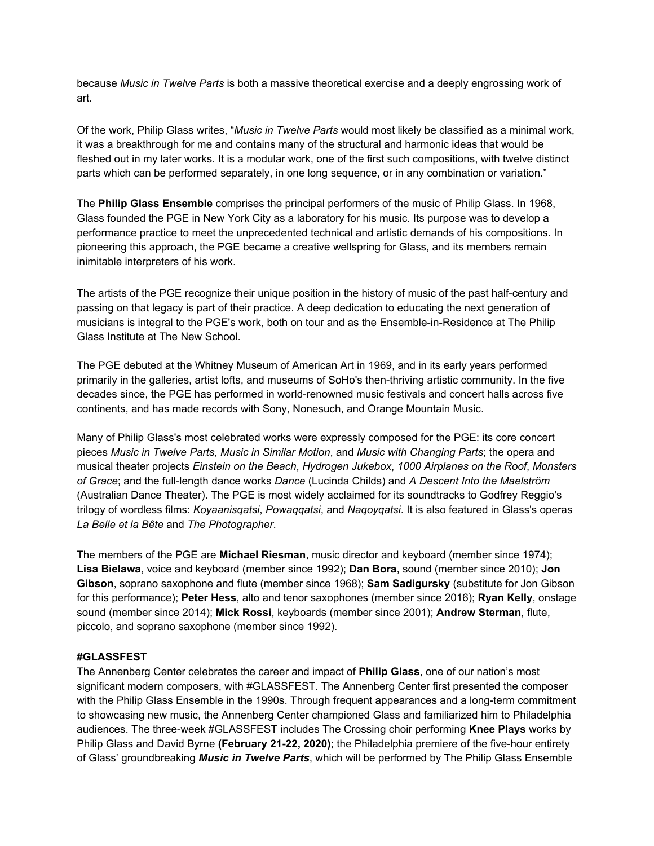because *Music in Twelve Parts* is both a massive theoretical exercise and a deeply engrossing work of art.

Of the work, Philip Glass writes, "*Music in Twelve Parts* would most likely be classified as a minimal work, it was a breakthrough for me and contains many of the structural and harmonic ideas that would be fleshed out in my later works. It is a modular work, one of the first such compositions, with twelve distinct parts which can be performed separately, in one long sequence, or in any combination or variation."

The **Philip Glass Ensemble** comprises the principal performers of the music of Philip Glass. In 1968, Glass founded the PGE in New York City as a laboratory for his music. Its purpose was to develop a performance practice to meet the unprecedented technical and artistic demands of his compositions. In pioneering this approach, the PGE became a creative wellspring for Glass, and its members remain inimitable interpreters of his work.

The artists of the PGE recognize their unique position in the history of music of the past half-century and passing on that legacy is part of their practice. A deep dedication to educating the next generation of musicians is integral to the PGE's work, both on tour and as the Ensemble-in-Residence at The Philip Glass Institute at The New School.

The PGE debuted at the Whitney Museum of American Art in 1969, and in its early years performed primarily in the galleries, artist lofts, and museums of SoHo's then-thriving artistic community. In the five decades since, the PGE has performed in world-renowned music festivals and concert halls across five continents, and has made records with Sony, Nonesuch, and Orange Mountain Music.

Many of Philip Glass's most celebrated works were expressly composed for the PGE: its core concert pieces *Music in Twelve Parts*, *Music in Similar Motion*, and *Music with Changing Parts*; the opera and musical theater projects *Einstein on the Beach*, *Hydrogen Jukebox*, *1000 Airplanes on the Roof*, *Monsters of Grace*; and the full-length dance works *Dance* (Lucinda Childs) and *A Descent Into the Maelström* (Australian Dance Theater). The PGE is most widely acclaimed for its soundtracks to Godfrey Reggio's trilogy of wordless films: *Koyaanisqatsi*, *Powaqqatsi*, and *Naqoyqatsi*. It is also featured in Glass's operas *La Belle et la Bête* and *The Photographer*.

The members of the PGE are **Michael Riesman**, music director and keyboard (member since 1974); **Lisa Bielawa**, voice and keyboard (member since 1992); **Dan Bora**, sound (member since 2010); **Jon Gibson**, soprano saxophone and flute (member since 1968); **Sam Sadigursky** (substitute for Jon Gibson for this performance); **Peter Hess**, alto and tenor saxophones (member since 2016); **Ryan Kelly**, onstage sound (member since 2014); **Mick Rossi**, keyboards (member since 2001); **Andrew Sterman**, flute, piccolo, and soprano saxophone (member since 1992).

#### **#GLASSFEST**

The Annenberg Center celebrates the career and impact of **Philip Glass**, one of our nation's most significant modern composers, with #GLASSFEST. The Annenberg Center first presented the composer with the Philip Glass Ensemble in the 1990s. Through frequent appearances and a long-term commitment to showcasing new music, the Annenberg Center championed Glass and familiarized him to Philadelphia audiences. The three-week #GLASSFEST includes The Crossing choir performing **Knee Plays** works by Philip Glass and David Byrne **(February 21-22, 2020)**; the Philadelphia premiere of the five-hour entirety of Glass' groundbreaking *Music in Twelve Parts*, which will be performed by The Philip Glass Ensemble